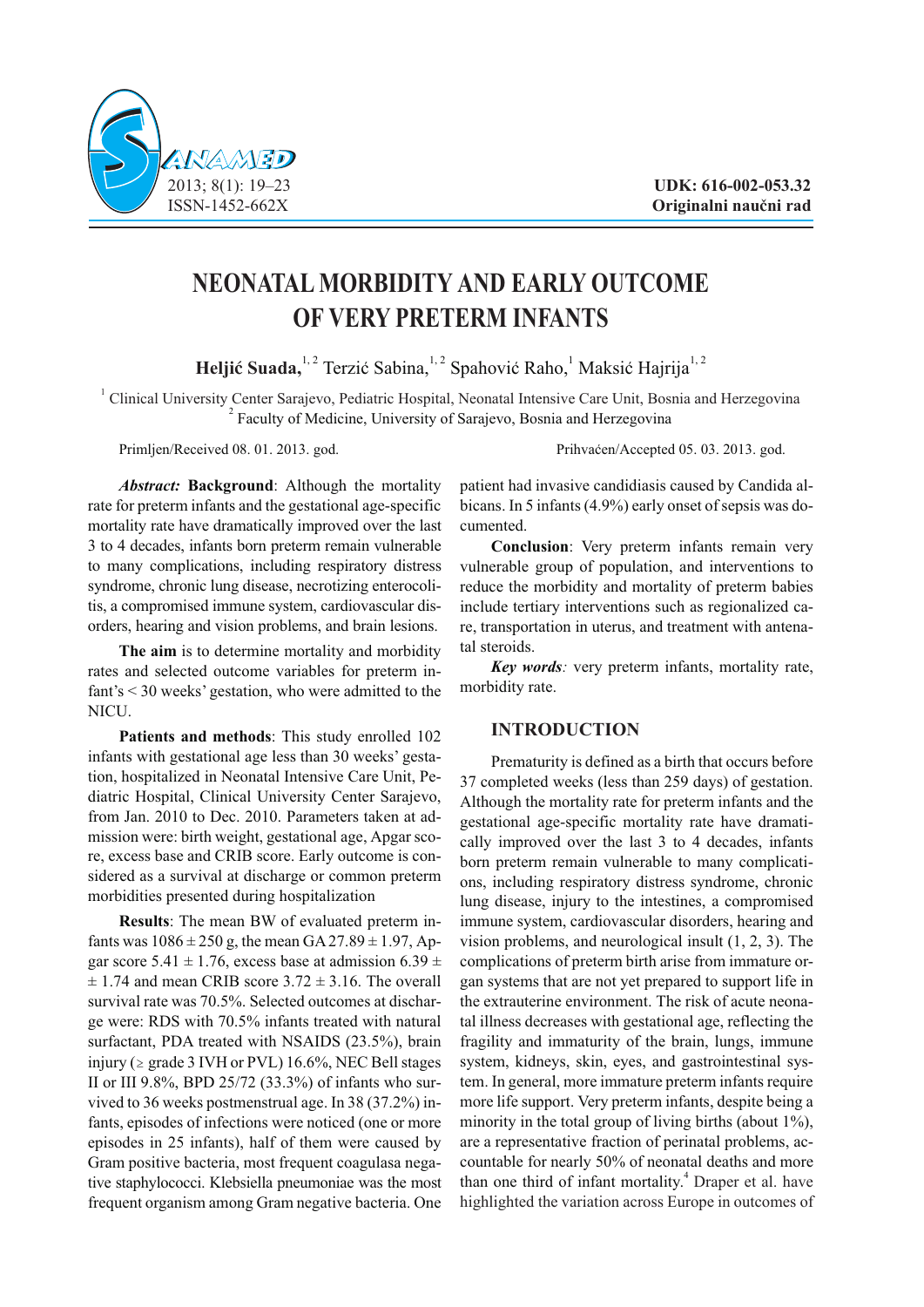

# **NEONATAL MORBIDITY AND EARLY OUTCOME OF VERY PRETERM INFANTS**

**Heljić Suada,**<sup>1, 2</sup> Terzić Sabina,<sup>1, 2</sup> Spahović Raho,<sup>1</sup> Maksić Hajrija<sup>1, 2</sup>

<sup>1</sup> Clinical University Center Sarajevo, Pediatric Hospital, Neonatal Intensive Care Unit, Bosnia and Herzegovina <sup>2</sup> Faculty of Medicine, University of Sarajevo, Bosnia and Herzegovina

Primljen/Received 08. 01. 2013. god. Prihvaćen/Accepted 05. 03. 2013. god.

*Abstract:* **Background**: Although the mortality rate for preterm infants and the gestational age-specific mortality rate have dramatically improved over the last 3 to 4 decades, infants born preterm remain vulnerable to many complications, including respiratory distress syndrome, chronic lung disease, necrotizing enterocolitis, a compromised immune system, cardiovascular disorders, hearing and vision problems, and brain lesions.

**The aim** is to determine mortality and morbidity rates and selected outcome variables for preterm infant's < 30 weeks' gestation, who were admitted to the NICU.

**Patients and methods**: This study enrolled 102 infants with gestational age less than 30 weeks' gestation, hospitalized in Neonatal Intensive Care Unit, Pediatric Hospital, Clinical University Center Sarajevo, from Jan. 2010 to Dec. 2010. Parameters taken at admission were: birth weight, gestational age, Apgar score, excess base and CRIB score. Early outcome is considered as a survival at discharge or common preterm morbidities presented during hospitalization

**Results**: The mean BW of evaluated preterm infants was  $1086 \pm 250$  g, the mean  $GA\,27.89 \pm 1.97$ , Apgar score 5.41  $\pm$  1.76, excess base at admission 6.39  $\pm$  $\pm$  1.74 and mean CRIB score 3.72  $\pm$  3.16. The overall survival rate was 70.5%. Selected outcomes at discharge were: RDS with 70.5% infants treated with natural surfactant, PDA treated with NSAIDS (23.5%), brain injury ( $\ge$  grade 3 IVH or PVL) 16.6%. NEC Bell stages II or III 9.8%, BPD 25/72 (33.3%) of infants who survived to 36 weeks postmenstrual age. In 38 (37.2%) infants, episodes of infections were noticed (one or more episodes in 25 infants), half of them were caused by Gram positive bacteria, most frequent coagulasa negative staphylococci. Klebsiella pneumoniae was the most frequent organism among Gram negative bacteria. One

patient had invasive candidiasis caused by Candida albicans. In 5 infants (4.9%) early onset of sepsis was documented.

**Conclusion**: Very preterm infants remain very vulnerable group of population, and interventions to reduce the morbidity and mortality of preterm babies include tertiary interventions such as regionalized care, transportation in uterus, and treatment with antenatal steroids.

*Key words:* very preterm infants, mortality rate, morbidity rate.

## **INTRODUCTION**

Prematurity is defined as a birth that occurs before 37 completed weeks (less than 259 days) of gestation. Although the mortality rate for preterm infants and the gestational age-specific mortality rate have dramatically improved over the last 3 to 4 decades, infants born preterm remain vulnerable to many complications, including respiratory distress syndrome, chronic lung disease, injury to the intestines, a compromised immune system, cardiovascular disorders, hearing and vision problems, and neurological insult (1, 2, 3). The complications of preterm birth arise from immature organ systems that are not yet prepared to support life in the extrauterine environment. The risk of acute neonatal illness decreases with gestational age, reflecting the fragility and immaturity of the brain, lungs, immune system, kidneys, skin, eyes, and gastrointestinal system. In general, more immature preterm infants require more life support. Very preterm infants, despite being a minority in the total group of living births (about 1%), are a representative fraction of perinatal problems, accountable for nearly 50% of neonatal deaths and more than one third of infant mortality.<sup>4</sup> Draper et al. have highlighted the variation across Europe in outcomes of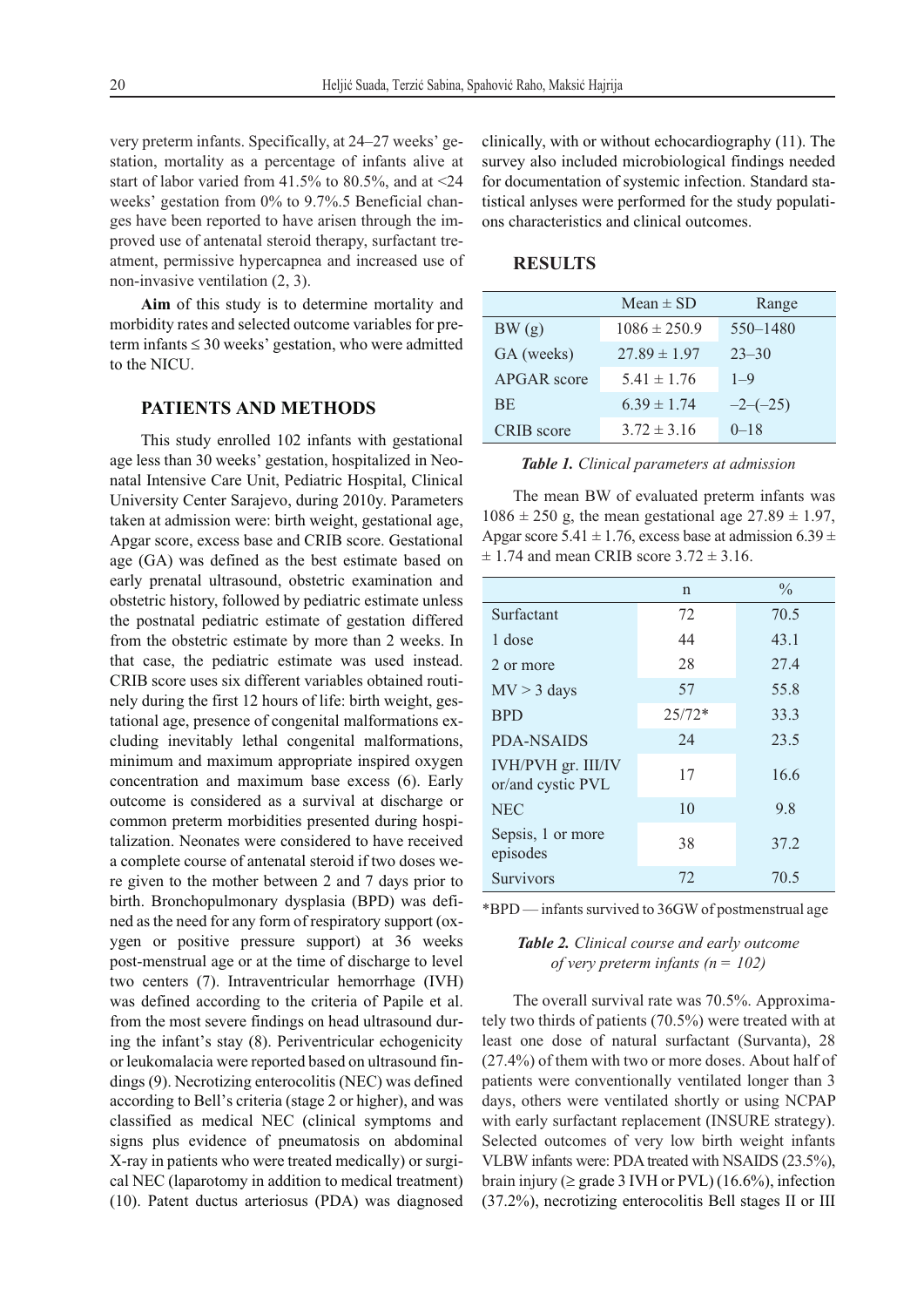very preterm infants. Specifically, at 24–27 weeks' gestation, mortality as a percentage of infants alive at start of labor varied from 41.5% to 80.5%, and at  $\leq$ 24 weeks' gestation from 0% to 9.7%.5 Beneficial changes have been reported to have arisen through the improved use of antenatal steroid therapy, surfactant treatment, permissive hypercapnea and increased use of non-invasive ventilation (2, 3).

**Aim** of this study is to determine mortality and morbidity rates and selected outcome variables for preterm infants  $\leq 30$  weeks' gestation, who were admitted to the NICU.

## **PATIENTS AND METHODS**

This study enrolled 102 infants with gestational age less than 30 weeks' gestation, hospitalized in Neonatal Intensive Care Unit, Pediatric Hospital, Clinical University Center Sarajevo, during 2010y. Parameters taken at admission were: birth weight, gestational age, Apgar score, excess base and CRIB score. Gestational age (GA) was defined as the best estimate based on early prenatal ultrasound, obstetric examination and obstetric history, followed by pediatric estimate unless the postnatal pediatric estimate of gestation differed from the obstetric estimate by more than 2 weeks. In that case, the pediatric estimate was used instead. CRIB score uses six different variables obtained routinely during the first 12 hours of life: birth weight, gestational age, presence of congenital malformations excluding inevitably lethal congenital malformations, minimum and maximum appropriate inspired oxygen concentration and maximum base excess (6). Early outcome is considered as a survival at discharge or common preterm morbidities presented during hospitalization. Neonates were considered to have received a complete course of antenatal steroid if two doses were given to the mother between 2 and 7 days prior to birth. Bronchopulmonary dysplasia (BPD) was defined as the need for any form of respiratory support (oxygen or positive pressure support) at 36 weeks post-menstrual age or at the time of discharge to level two centers (7). Intraventricular hemorrhage (IVH) was defined according to the criteria of Papile et al. from the most severe findings on head ultrasound during the infant's stay (8). Periventricular echogenicity or leukomalacia were reported based on ultrasound findings (9). Necrotizing enterocolitis (NEC) was defined according to Bell's criteria (stage 2 or higher), and was classified as medical NEC (clinical symptoms and signs plus evidence of pneumatosis on abdominal X-ray in patients who were treated medically) or surgical NEC (laparotomy in addition to medical treatment) (10). Patent ductus arteriosus (PDA) was diagnosed

clinically, with or without echocardiography (11). The survey also included microbiological findings needed for documentation of systemic infection. Standard statistical anlyses were performed for the study populations characteristics and clinical outcomes.

#### **RESULTS**

|                    | $Mean \pm SD$    | Range        |
|--------------------|------------------|--------------|
| BW(g)              | $1086 \pm 250.9$ | $550 - 1480$ |
| GA (weeks)         | $27.89 \pm 1.97$ | $23 - 30$    |
| <b>APGAR</b> score | $5.41 \pm 1.76$  | $1 - 9$      |
| <b>BE</b>          | $6.39 \pm 1.74$  | $-2-(-25)$   |
| CRIB score         | $3.72 \pm 3.16$  | $0 - 18$     |

| Table 1. Clinical parameters at admission |  |  |  |  |  |
|-------------------------------------------|--|--|--|--|--|
|-------------------------------------------|--|--|--|--|--|

The mean BW of evaluated preterm infants was  $1086 \pm 250$  g, the mean gestational age  $27.89 \pm 1.97$ , Apgar score 5.41  $\pm$  1.76, excess base at admission 6.39  $\pm$  $\pm$  1.74 and mean CRIB score 3.72  $\pm$  3.16.

|                                         | $\mathsf{n}$ | $\frac{0}{0}$ |
|-----------------------------------------|--------------|---------------|
| Surfactant                              | 72           | 70.5          |
| 1 dose                                  | 44           | 43.1          |
| 2 or more                               | 28           | 27.4          |
| $MV > 3$ days                           | 57           | 55.8          |
| <b>BPD</b>                              | $25/72*$     | 33.3          |
| <b>PDA-NSAIDS</b>                       | 24           | 23.5          |
| IVH/PVH gr. III/IV<br>or/and cystic PVL | 17           | 16.6          |
| <b>NEC</b>                              | 10           | 9.8           |
| Sepsis, 1 or more<br>episodes           | 38           | 37.2          |
| <b>Survivors</b>                        | 72           | 70.5          |

\*BPD — infants survived to 36GW of postmenstrual age

#### *Table 2. Clinical course and early outcome of very preterm infants (n = 102)*

The overall survival rate was 70.5%. Approximately two thirds of patients (70.5%) were treated with at least one dose of natural surfactant (Survanta), 28 (27.4%) of them with two or more doses. About half of patients were conventionally ventilated longer than 3 days, others were ventilated shortly or using NCPAP with early surfactant replacement (INSURE strategy). Selected outcomes of very low birth weight infants VLBW infants were: PDA treated with NSAIDS (23.5%), brain injury ( $\geq$  grade 3 IVH or PVL) (16.6%), infection (37.2%), necrotizing enterocolitis Bell stages II or III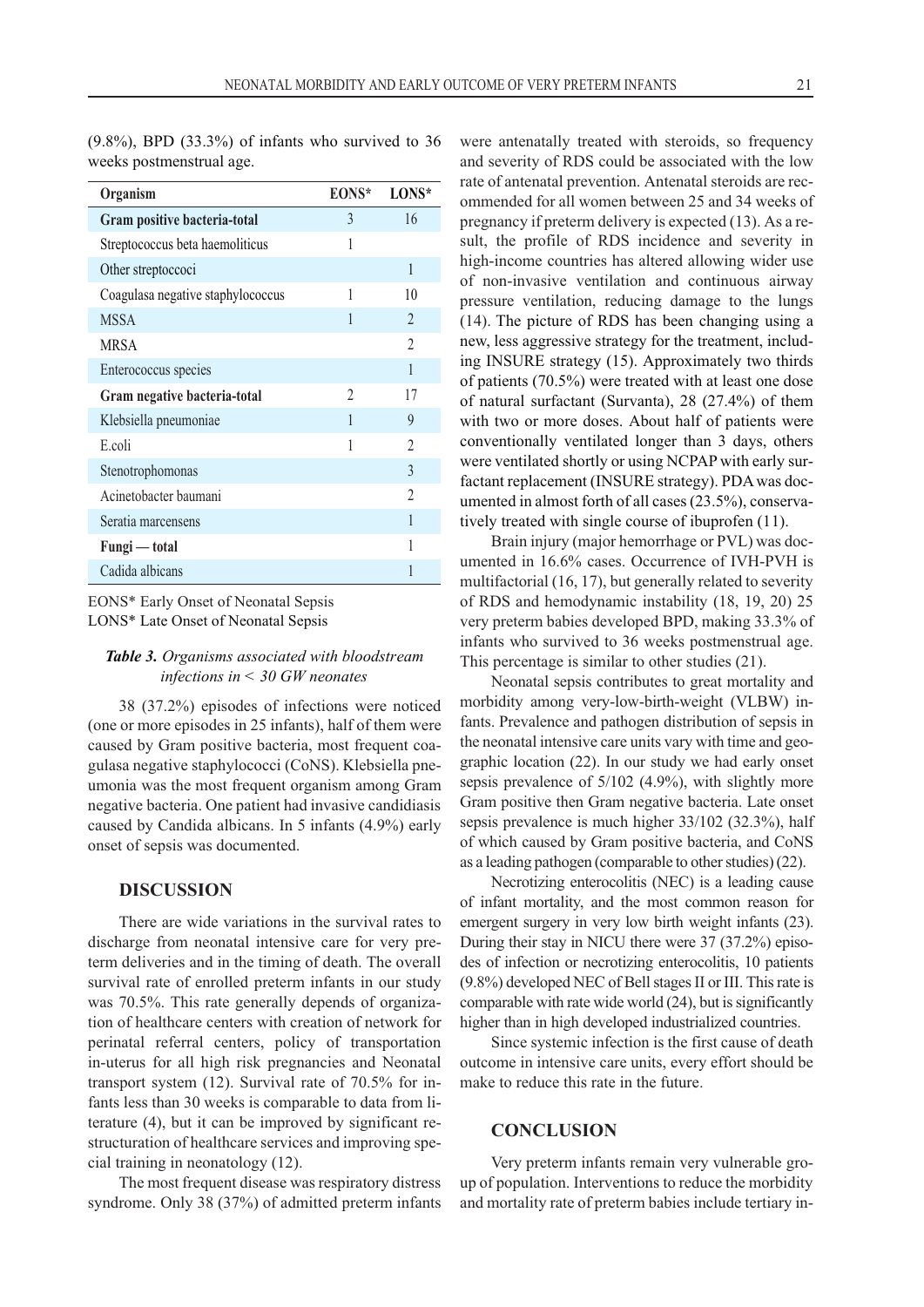(9.8%), BPD (33.3%) of infants who survived to 36 weeks postmenstrual age.

| Organism                          | EONS*          | LONS*          |
|-----------------------------------|----------------|----------------|
| Gram positive bacteria-total      | 3              | 16             |
| Streptococcus beta haemoliticus   | 1              |                |
| Other streptoccoci                |                | 1              |
| Coagulasa negative staphylococcus | 1              | 10             |
| <b>MSSA</b>                       | 1              | $\mathfrak{D}$ |
| <b>MRSA</b>                       |                | $\overline{c}$ |
| Enterococcus species              |                | 1              |
| Gram negative bacteria-total      | $\overline{2}$ | 17             |
| Klebsiella pneumoniae             | 1              | 9              |
| E.coli                            | 1              | 2              |
| Stenotrophomonas                  |                | 3              |
| Acinetobacter baumani             |                | $\mathfrak{D}$ |
| Seratia marcensens                |                | 1              |
| Fungi — total                     |                |                |
| Cadida albicans                   |                |                |

EONS\* Early Onset of Neonatal Sepsis LONS\* Late Onset of Neonatal Sepsis

#### *Table 3. Organisms associated with bloodstream infections in < 30 GW neonates*

38 (37.2%) episodes of infections were noticed (one or more episodes in 25 infants), half of them were caused by Gram positive bacteria, most frequent coagulasa negative staphylococci (CoNS). Klebsiella pneumonia was the most frequent organism among Gram negative bacteria. One patient had invasive candidiasis caused by Candida albicans. In 5 infants (4.9%) early onset of sepsis was documented.

#### **DISCUSSION**

There are wide variations in the survival rates to discharge from neonatal intensive care for very preterm deliveries and in the timing of death. The overall survival rate of enrolled preterm infants in our study was 70.5%. This rate generally depends of organization of healthcare centers with creation of network for perinatal referral centers, policy of transportation in-uterus for all high risk pregnancies and Neonatal transport system (12). Survival rate of 70.5% for infants less than 30 weeks is comparable to data from literature (4), but it can be improved by significant restructuration of healthcare services and improving special training in neonatology (12).

The most frequent disease was respiratory distress syndrome. Only 38 (37%) of admitted preterm infants were antenatally treated with steroids, so frequency and severity of RDS could be associated with the low rate of antenatal prevention. Antenatal steroids are recommended for all women between 25 and 34 weeks of pregnancy if preterm delivery is expected (13). As a result, the profile of RDS incidence and severity in high-income countries has altered allowing wider use of non-invasive ventilation and continuous airway pressure ventilation, reducing damage to the lungs (14). The picture of RDS has been changing using a new, less aggressive strategy for the treatment, including INSURE strategy (15). Approximately two thirds of patients (70.5%) were treated with at least one dose of natural surfactant (Survanta), 28 (27.4%) of them with two or more doses. About half of patients were conventionally ventilated longer than 3 days, others were ventilated shortly or using NCPAP with early surfactant replacement (INSURE strategy). PDAwas documented in almost forth of all cases (23.5%), conservatively treated with single course of ibuprofen (11).

Brain injury (major hemorrhage or PVL) was documented in 16.6% cases. Occurrence of IVH-PVH is multifactorial (16, 17), but generally related to severity of RDS and hemodynamic instability (18, 19, 20) 25 very preterm babies developed BPD, making 33.3% of infants who survived to 36 weeks postmenstrual age. This percentage is similar to other studies (21).

Neonatal sepsis contributes to great mortality and morbidity among very-low-birth-weight (VLBW) infants. Prevalence and pathogen distribution of sepsis in the neonatal intensive care units vary with time and geographic location (22). In our study we had early onset sepsis prevalence of 5/102 (4.9%), with slightly more Gram positive then Gram negative bacteria. Late onset sepsis prevalence is much higher 33/102 (32.3%), half of which caused by Gram positive bacteria, and CoNS as a leading pathogen (comparable to other studies) (22).

Necrotizing enterocolitis (NEC) is a leading cause of infant mortality, and the most common reason for emergent surgery in very low birth weight infants (23). During their stay in NICU there were 37 (37.2%) episodes of infection or necrotizing enterocolitis, 10 patients (9.8%) developed NEC of Bell stages II or III. This rate is comparable with rate wide world (24), but is significantly higher than in high developed industrialized countries.

Since systemic infection is the first cause of death outcome in intensive care units, every effort should be make to reduce this rate in the future.

#### **CONCLUSION**

Very preterm infants remain very vulnerable group of population. Interventions to reduce the morbidity and mortality rate of preterm babies include tertiary in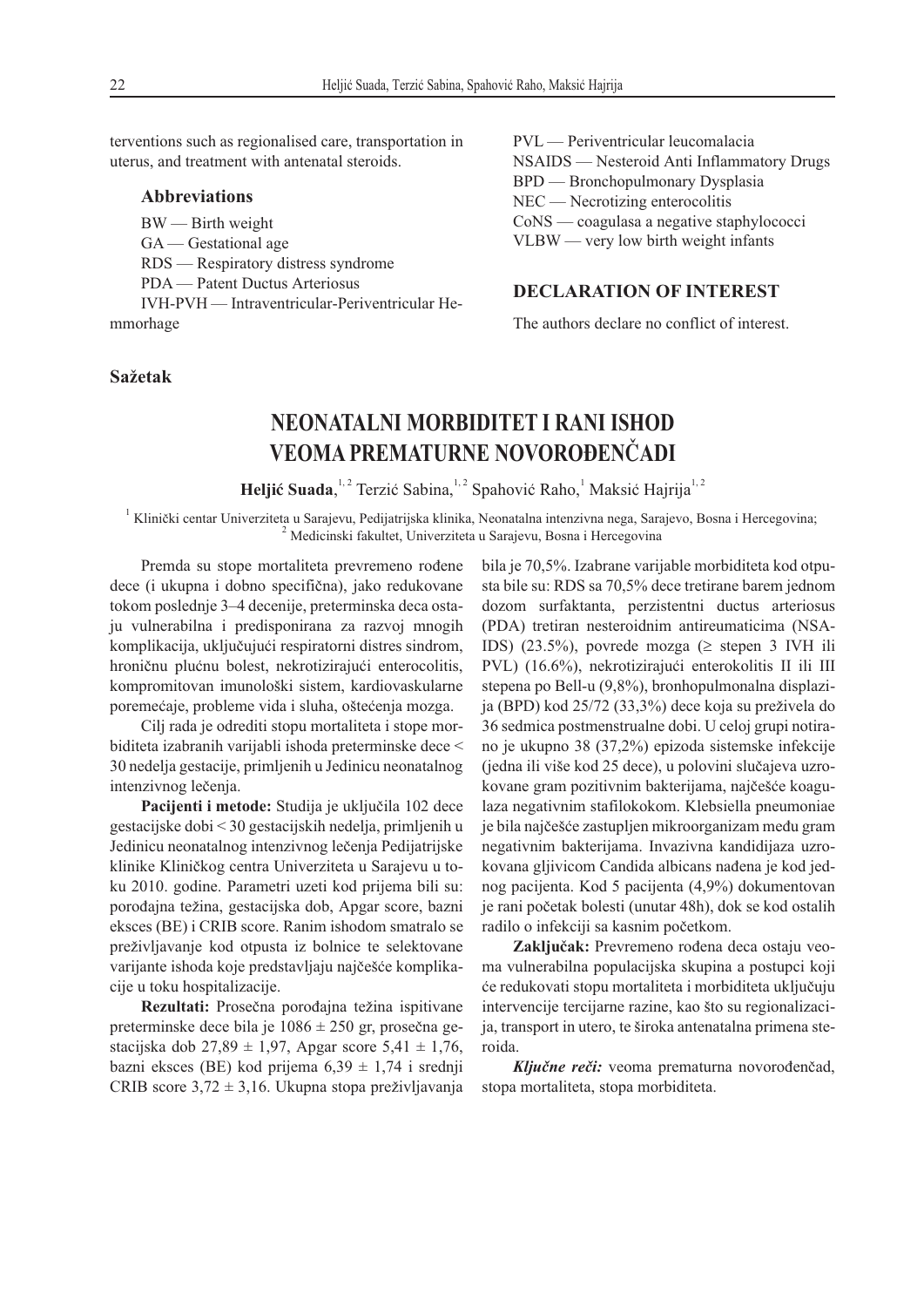terventions such as regionalised care, transportation in uterus, and treatment with antenatal steroids.

#### **Abbreviations**

BW — Birth weight

GA — Gestational age

RDS — Respiratory distress syndrome

PDA — Patent Ductus Arteriosus

IVH-PVH — Intraventricular-Periventricular Hemmorhage

#### **Sa`etak**

PVL — Periventricular leucomalacia NSAIDS — Nesteroid Anti Inflammatory Drugs BPD — Bronchopulmonary Dysplasia NEC — Necrotizing enterocolitis CoNS — coagulasa a negative staphylococci VLBW — very low birth weight infants

#### **DECLARATION OF INTEREST**

The authors declare no conflict of interest.

## **NEONATALNI MORBIDITET I RANI ISHOD VEOMA PREMATURNE NOVOROĐENČADI**

**Heljić Suada**,<sup>1,2</sup> Terzić Sabina,<sup>1,2</sup> Spahović Raho,<sup>1</sup> Maksić Hajrija<sup>1,2</sup>

<sup>1</sup> Klinički centar Univerziteta u Sarajevu, Pedijatrijska klinika, Neonatalna intenzivna nega, Sarajevo, Bosna i Hercegovina; <sup>2</sup> Medicinski fakultet, Univerziteta u Sarajevu, Bosna i Hercegovina

Premda su stope mortaliteta prevremeno rođene dece (i ukupna i dobno specifična), jako redukovane tokom poslednje 3–4 decenije, preterminska deca ostaju vulnerabilna i predisponirana za razvoj mnogih komplikacija, uključujući respiratorni distres sindrom, hroničnu plućnu bolest, nekrotizirajući enterocolitis, kompromitovan imunološki sistem, kardiovaskularne poremećaje, probleme vida i sluha, oštećenja mozga.

Cilj rada je odrediti stopu mortaliteta i stope morbiditeta izabranih varijabli ishoda preterminske dece < 30 nedelja gestacije, primljenih u Jedinicu neonatalnog intenzivnog lečenja.

Pacijenti i metode: Studija je uključila 102 dece gestacijske dobi < 30 gestacijskih nedelja, primljenih u Jedinicu neonatalnog intenzivnog lečenja Pedijatrijske klinike Kliničkog centra Univerziteta u Sarajevu u toku 2010. godine. Parametri uzeti kod prijema bili su: porođajna težina, gestacijska dob, Apgar score, bazni eksces (BE) i CRIB score. Ranim ishodom smatralo se preživljavanje kod otpusta iz bolnice te selektovane varijante ishoda koje predstavljaju najčešće komplikacije u toku hospitalizacije.

**Rezultati:** Prosečna porođajna težina ispitivane preterminske dece bila je  $1086 \pm 250$  gr, prosečna gestacijska dob 27,89 ± 1,97, Apgar score 5,41 ± 1,76, bazni eksces (BE) kod prijema  $6,39 \pm 1,74$  i srednji CRIB score  $3.72 \pm 3.16$ . Ukupna stopa preživljavanja

bila je 70,5%. Izabrane varijable morbiditeta kod otpusta bile su: RDS sa 70,5% dece tretirane barem jednom dozom surfaktanta, perzistentni ductus arteriosus (PDA) tretiran nesteroidnim antireumaticima (NSA-IDS) (23.5%), povrede mozga ( $\geq$  stepen 3 IVH ili PVL) (16.6%), nekrotizirajući enterokolitis II ili III stepena po Bell-u (9,8%), bronhopulmonalna displazija (BPD) kod 25/72 (33,3%) dece koja su preživela do 36 sedmica postmenstrualne dobi. U celoj grupi notirano je ukupno 38 (37,2%) epizoda sistemske infekcije (jedna ili više kod 25 dece), u polovini slučajeva uzrokovane gram pozitivnim bakterijama, najčešće koagulaza negativnim stafilokokom. Klebsiella pneumoniae je bila najčešće zastupljen mikroorganizam među gram negativnim bakterijama. Invazivna kandidijaza uzrokovana gljivicom Candida albicans nađena je kod jednog pacijenta. Kod 5 pacijenta (4,9%) dokumentovan je rani početak bolesti (unutar 48h), dok se kod ostalih radilo o infekciji sa kasnim početkom.

Zaključak: Prevremeno rođena deca ostaju veoma vulnerabilna populacijska skupina a postupci koji }e redukovati stopu mortaliteta i morbiditeta uklju~uju intervencije tercijarne razine, kao što su regionalizacija, transport in utero, te široka antenatalna primena steroida.

Ključne reči: veoma prematurna novorođenčad, stopa mortaliteta, stopa morbiditeta.